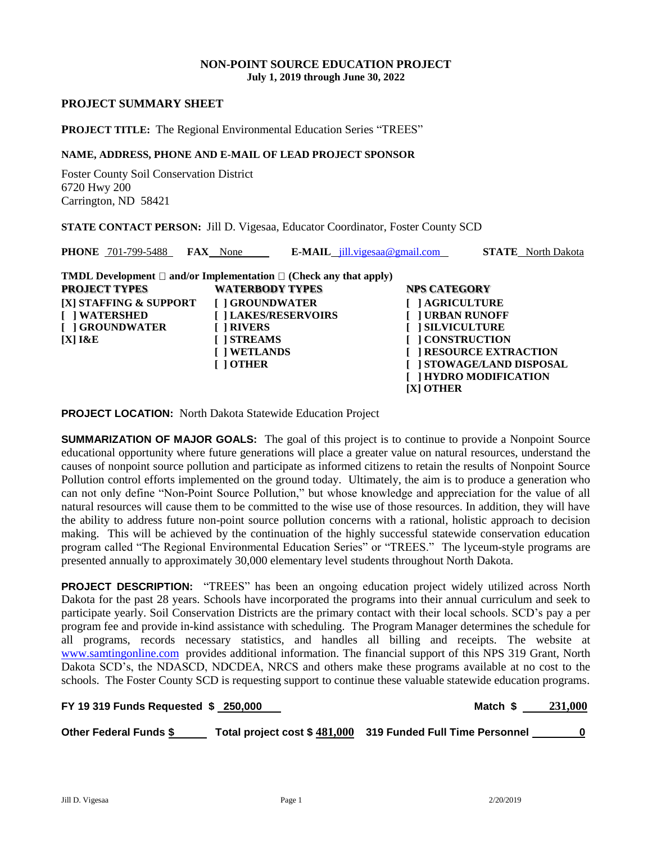#### **NON-POINT SOURCE EDUCATION PROJECT July 1, 2019 through June 30, 2022**

#### **PROJECT SUMMARY SHEET**

#### **PROJECT TITLE:** The Regional Environmental Education Series "TREES"

# **NAME, ADDRESS, PHONE AND E-MAIL OF LEAD PROJECT SPONSOR**

Foster County Soil Conservation District 6720 Hwy 200 Carrington, ND 58421

**STATE CONTACT PERSON:** Jill D. Vigesaa, Educator Coordinator, Foster County SCD

| <b>PHONE</b> 701-799-5488                                                                                  | $E\text{-}MAIL$ [ill.vigesaa@gmail.com]<br><b>FAX</b> None                                                                                                                                                                 | <b>STATE</b> North Dakota                                                                                                                                                                                 |
|------------------------------------------------------------------------------------------------------------|----------------------------------------------------------------------------------------------------------------------------------------------------------------------------------------------------------------------------|-----------------------------------------------------------------------------------------------------------------------------------------------------------------------------------------------------------|
| <b>PROJECT TYPES</b><br>[X] STAFFING & SUPPORT<br><b>I</b> I WATERSHED<br>[ ] GROUNDWATER<br>$[X]$ $R$ $E$ | <b>TMDL Development</b> $\Box$ and/or Implementation $\Box$ (Check any that apply)<br><b>WATERBODY TYPES</b><br>[ ] GROUNDWATER<br><b>TEAKES/RESERVOIRS</b><br><b>RIVERS</b><br><b>STREAMS</b><br>WETLANDS<br><b>OTHER</b> | <b>NPS CATEGORY</b><br><b>AGRICULTURE</b><br><b>URBAN RUNOFF</b><br><b>SILVICULTURE</b><br><b>CONSTRUCTION</b><br><b>RESOURCE EXTRACTION</b><br><b>STOWAGE/LAND DISPOSAL</b><br><b>HYDRO MODIFICATION</b> |
|                                                                                                            |                                                                                                                                                                                                                            | <b>IXI OTHER</b>                                                                                                                                                                                          |

**PROJECT LOCATION:** North Dakota Statewide Education Project

**SUMMARIZATION OF MAJOR GOALS:** The goal of this project is to continue to provide a Nonpoint Source educational opportunity where future generations will place a greater value on natural resources, understand the causes of nonpoint source pollution and participate as informed citizens to retain the results of Nonpoint Source Pollution control efforts implemented on the ground today. Ultimately, the aim is to produce a generation who can not only define "Non-Point Source Pollution," but whose knowledge and appreciation for the value of all natural resources will cause them to be committed to the wise use of those resources. In addition, they will have the ability to address future non-point source pollution concerns with a rational, holistic approach to decision making. This will be achieved by the continuation of the highly successful statewide conservation education program called "The Regional Environmental Education Series" or "TREES." The lyceum-style programs are presented annually to approximately 30,000 elementary level students throughout North Dakota.

**PROJECT DESCRIPTION:** "TREES" has been an ongoing education project widely utilized across North Dakota for the past 28 years. Schools have incorporated the programs into their annual curriculum and seek to participate yearly. Soil Conservation Districts are the primary contact with their local schools. SCD's pay a per program fee and provide in-kind assistance with scheduling. The Program Manager determines the schedule for all programs, records necessary statistics, and handles all billing and receipts. The website at [www.samtingonline.com](http://www.samtingonline.com/) provides additional information. The financial support of this NPS 319 Grant, North Dakota SCD's, the NDASCD, NDCDEA, NRCS and others make these programs available at no cost to the schools. The Foster County SCD is requesting support to continue these valuable statewide education programs.

| FY 19 319 Funds Requested \$ 250,000 | Match \$                                                    | 231,000 |
|--------------------------------------|-------------------------------------------------------------|---------|
| <b>Other Federal Funds \$</b>        | Total project cost \$481,000 319 Funded Full Time Personnel |         |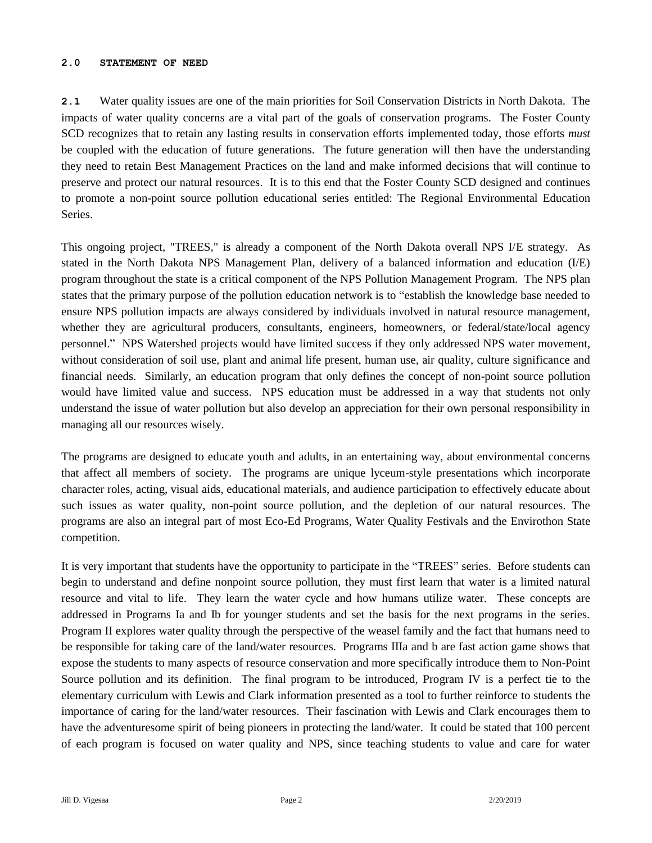#### **2.0 STATEMENT OF NEED**

**2.1** Water quality issues are one of the main priorities for Soil Conservation Districts in North Dakota. The impacts of water quality concerns are a vital part of the goals of conservation programs. The Foster County SCD recognizes that to retain any lasting results in conservation efforts implemented today, those efforts *must* be coupled with the education of future generations. The future generation will then have the understanding they need to retain Best Management Practices on the land and make informed decisions that will continue to preserve and protect our natural resources. It is to this end that the Foster County SCD designed and continues to promote a non-point source pollution educational series entitled: The Regional Environmental Education Series.

This ongoing project, "TREES," is already a component of the North Dakota overall NPS I/E strategy. As stated in the North Dakota NPS Management Plan, delivery of a balanced information and education (I/E) program throughout the state is a critical component of the NPS Pollution Management Program. The NPS plan states that the primary purpose of the pollution education network is to "establish the knowledge base needed to ensure NPS pollution impacts are always considered by individuals involved in natural resource management, whether they are agricultural producers, consultants, engineers, homeowners, or federal/state/local agency personnel." NPS Watershed projects would have limited success if they only addressed NPS water movement, without consideration of soil use, plant and animal life present, human use, air quality, culture significance and financial needs. Similarly, an education program that only defines the concept of non-point source pollution would have limited value and success. NPS education must be addressed in a way that students not only understand the issue of water pollution but also develop an appreciation for their own personal responsibility in managing all our resources wisely.

The programs are designed to educate youth and adults, in an entertaining way, about environmental concerns that affect all members of society. The programs are unique lyceum-style presentations which incorporate character roles, acting, visual aids, educational materials, and audience participation to effectively educate about such issues as water quality, non-point source pollution, and the depletion of our natural resources. The programs are also an integral part of most Eco-Ed Programs, Water Quality Festivals and the Envirothon State competition.

It is very important that students have the opportunity to participate in the "TREES" series. Before students can begin to understand and define nonpoint source pollution, they must first learn that water is a limited natural resource and vital to life. They learn the water cycle and how humans utilize water. These concepts are addressed in Programs Ia and Ib for younger students and set the basis for the next programs in the series. Program II explores water quality through the perspective of the weasel family and the fact that humans need to be responsible for taking care of the land/water resources. Programs IIIa and b are fast action game shows that expose the students to many aspects of resource conservation and more specifically introduce them to Non-Point Source pollution and its definition. The final program to be introduced, Program IV is a perfect tie to the elementary curriculum with Lewis and Clark information presented as a tool to further reinforce to students the importance of caring for the land/water resources. Their fascination with Lewis and Clark encourages them to have the adventuresome spirit of being pioneers in protecting the land/water. It could be stated that 100 percent of each program is focused on water quality and NPS, since teaching students to value and care for water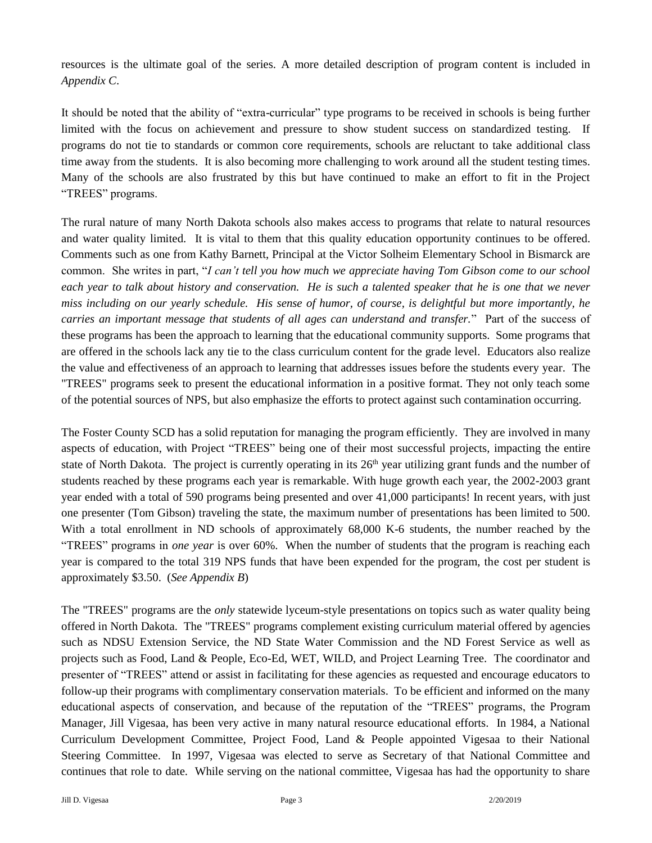resources is the ultimate goal of the series. A more detailed description of program content is included in *Appendix C*.

It should be noted that the ability of "extra-curricular" type programs to be received in schools is being further limited with the focus on achievement and pressure to show student success on standardized testing. If programs do not tie to standards or common core requirements, schools are reluctant to take additional class time away from the students. It is also becoming more challenging to work around all the student testing times. Many of the schools are also frustrated by this but have continued to make an effort to fit in the Project "TREES" programs.

The rural nature of many North Dakota schools also makes access to programs that relate to natural resources and water quality limited. It is vital to them that this quality education opportunity continues to be offered. Comments such as one from Kathy Barnett, Principal at the Victor Solheim Elementary School in Bismarck are common. She writes in part, "*I can't tell you how much we appreciate having Tom Gibson come to our school each year to talk about history and conservation. He is such a talented speaker that he is one that we never miss including on our yearly schedule. His sense of humor, of course, is delightful but more importantly, he carries an important message that students of all ages can understand and transfer.*" Part of the success of these programs has been the approach to learning that the educational community supports. Some programs that are offered in the schools lack any tie to the class curriculum content for the grade level. Educators also realize the value and effectiveness of an approach to learning that addresses issues before the students every year. The "TREES" programs seek to present the educational information in a positive format. They not only teach some of the potential sources of NPS, but also emphasize the efforts to protect against such contamination occurring.

The Foster County SCD has a solid reputation for managing the program efficiently. They are involved in many aspects of education, with Project "TREES" being one of their most successful projects, impacting the entire state of North Dakota. The project is currently operating in its  $26<sup>th</sup>$  year utilizing grant funds and the number of students reached by these programs each year is remarkable. With huge growth each year, the 2002-2003 grant year ended with a total of 590 programs being presented and over 41,000 participants! In recent years, with just one presenter (Tom Gibson) traveling the state, the maximum number of presentations has been limited to 500. With a total enrollment in ND schools of approximately 68,000 K-6 students, the number reached by the "TREES" programs in *one year* is over 60%. When the number of students that the program is reaching each year is compared to the total 319 NPS funds that have been expended for the program, the cost per student is approximately \$3.50. (*See Appendix B*)

The "TREES" programs are the *only* statewide lyceum-style presentations on topics such as water quality being offered in North Dakota. The "TREES" programs complement existing curriculum material offered by agencies such as NDSU Extension Service, the ND State Water Commission and the ND Forest Service as well as projects such as Food, Land & People, Eco-Ed, WET, WILD, and Project Learning Tree. The coordinator and presenter of "TREES" attend or assist in facilitating for these agencies as requested and encourage educators to follow-up their programs with complimentary conservation materials. To be efficient and informed on the many educational aspects of conservation, and because of the reputation of the "TREES" programs, the Program Manager, Jill Vigesaa, has been very active in many natural resource educational efforts. In 1984, a National Curriculum Development Committee, Project Food, Land & People appointed Vigesaa to their National Steering Committee. In 1997, Vigesaa was elected to serve as Secretary of that National Committee and continues that role to date. While serving on the national committee, Vigesaa has had the opportunity to share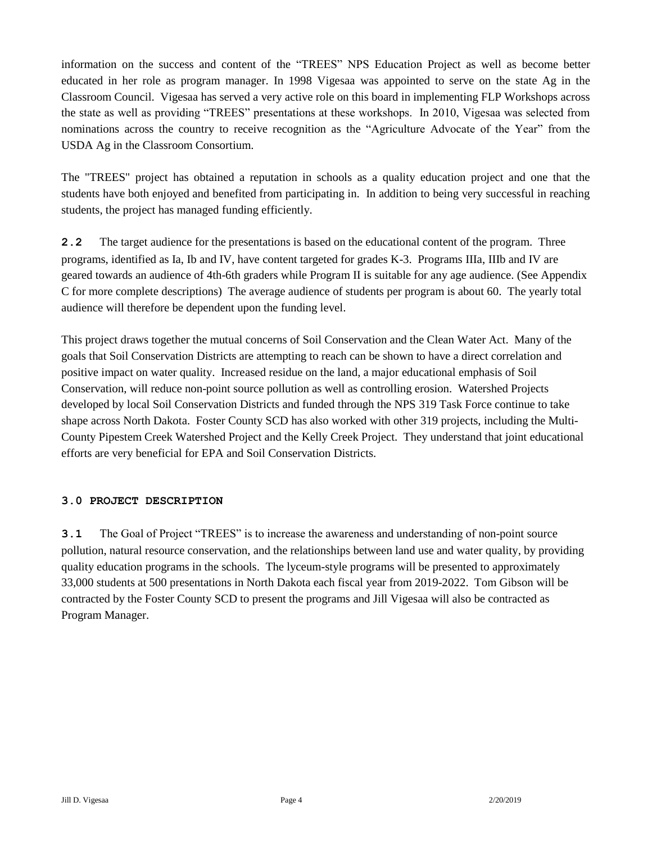information on the success and content of the "TREES" NPS Education Project as well as become better educated in her role as program manager. In 1998 Vigesaa was appointed to serve on the state Ag in the Classroom Council. Vigesaa has served a very active role on this board in implementing FLP Workshops across the state as well as providing "TREES" presentations at these workshops. In 2010, Vigesaa was selected from nominations across the country to receive recognition as the "Agriculture Advocate of the Year" from the USDA Ag in the Classroom Consortium.

The "TREES" project has obtained a reputation in schools as a quality education project and one that the students have both enjoyed and benefited from participating in. In addition to being very successful in reaching students, the project has managed funding efficiently.

**2.2** The target audience for the presentations is based on the educational content of the program. Three programs, identified as Ia, Ib and IV, have content targeted for grades K-3. Programs IIIa, IIIb and IV are geared towards an audience of 4th-6th graders while Program II is suitable for any age audience. (See Appendix C for more complete descriptions) The average audience of students per program is about 60. The yearly total audience will therefore be dependent upon the funding level.

This project draws together the mutual concerns of Soil Conservation and the Clean Water Act. Many of the goals that Soil Conservation Districts are attempting to reach can be shown to have a direct correlation and positive impact on water quality. Increased residue on the land, a major educational emphasis of Soil Conservation, will reduce non-point source pollution as well as controlling erosion. Watershed Projects developed by local Soil Conservation Districts and funded through the NPS 319 Task Force continue to take shape across North Dakota. Foster County SCD has also worked with other 319 projects, including the Multi-County Pipestem Creek Watershed Project and the Kelly Creek Project. They understand that joint educational efforts are very beneficial for EPA and Soil Conservation Districts.

## **3.0 PROJECT DESCRIPTION**

**3.1** The Goal of Project "TREES" is to increase the awareness and understanding of non-point source pollution, natural resource conservation, and the relationships between land use and water quality, by providing quality education programs in the schools. The lyceum-style programs will be presented to approximately 33,000 students at 500 presentations in North Dakota each fiscal year from 2019-2022. Tom Gibson will be contracted by the Foster County SCD to present the programs and Jill Vigesaa will also be contracted as Program Manager.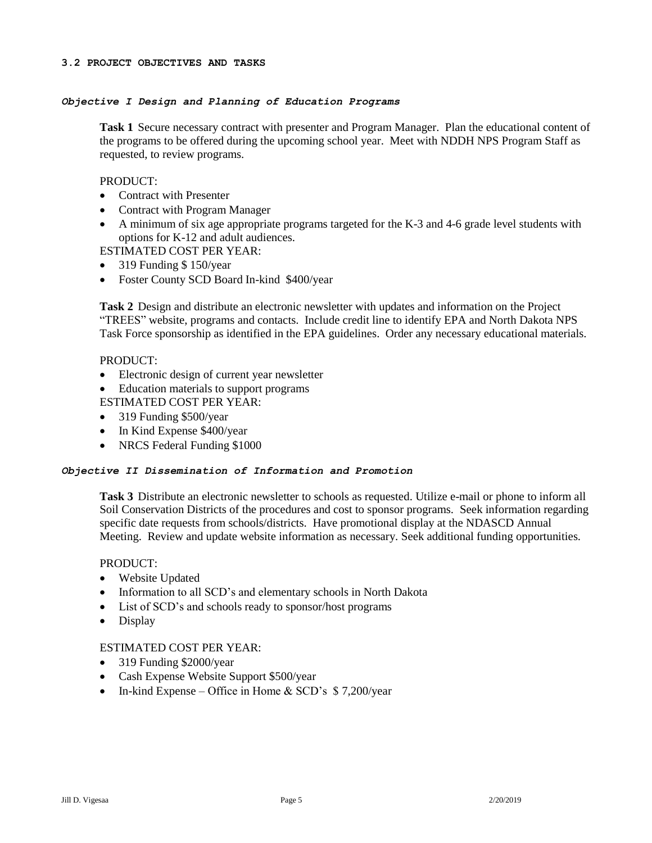#### *Objective I Design and Planning of Education Programs*

**Task 1** Secure necessary contract with presenter and Program Manager. Plan the educational content of the programs to be offered during the upcoming school year. Meet with NDDH NPS Program Staff as requested, to review programs.

PRODUCT:

- Contract with Presenter
- Contract with Program Manager
- A minimum of six age appropriate programs targeted for the K-3 and 4-6 grade level students with options for K-12 and adult audiences.

ESTIMATED COST PER YEAR:

- 319 Funding \$150/year
- Foster County SCD Board In-kind \$400/year

**Task 2** Design and distribute an electronic newsletter with updates and information on the Project "TREES" website, programs and contacts. Include credit line to identify EPA and North Dakota NPS Task Force sponsorship as identified in the EPA guidelines. Order any necessary educational materials.

#### PRODUCT:

- Electronic design of current year newsletter
- Education materials to support programs
- ESTIMATED COST PER YEAR:
- 319 Funding \$500/year
- In Kind Expense \$400/year
- NRCS Federal Funding \$1000

#### *Objective II Dissemination of Information and Promotion*

**Task 3** Distribute an electronic newsletter to schools as requested. Utilize e-mail or phone to inform all Soil Conservation Districts of the procedures and cost to sponsor programs. Seek information regarding specific date requests from schools/districts. Have promotional display at the NDASCD Annual Meeting. Review and update website information as necessary. Seek additional funding opportunities.

#### PRODUCT:

- Website Updated
- Information to all SCD's and elementary schools in North Dakota
- List of SCD's and schools ready to sponsor/host programs
- Display

#### ESTIMATED COST PER YEAR:

- 319 Funding \$2000/year
- Cash Expense Website Support \$500/year
- In-kind Expense Office in Home & SCD's  $$7,200/year$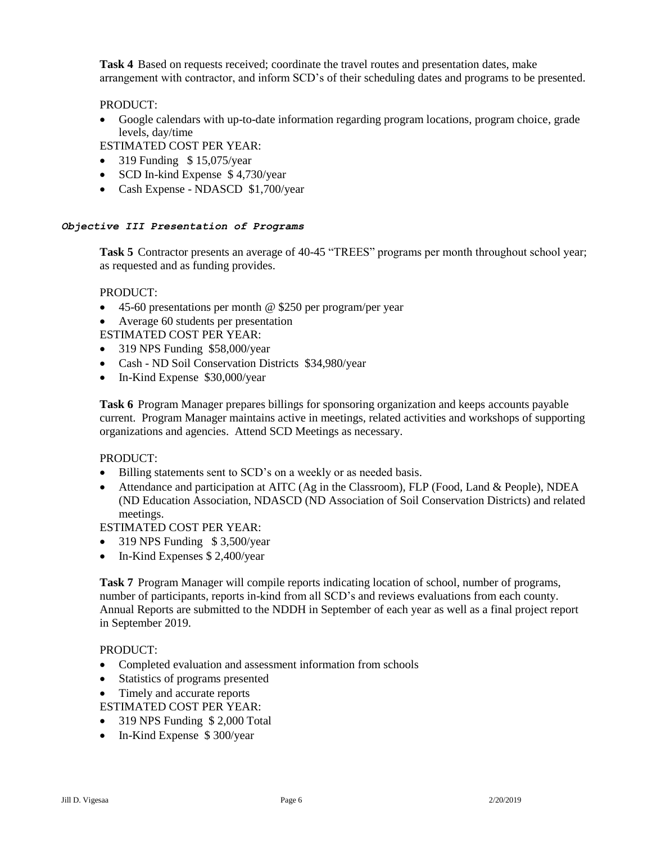**Task 4** Based on requests received; coordinate the travel routes and presentation dates, make arrangement with contractor, and inform SCD's of their scheduling dates and programs to be presented.

## PRODUCT:

• Google calendars with up-to-date information regarding program locations, program choice, grade levels, day/time

ESTIMATED COST PER YEAR:

- 319 Funding  $$ 15,075$ /year
- SCD In-kind Expense \$4,730/year
- Cash Expense NDASCD \$1,700/year

#### *Objective III Presentation of Programs*

**Task 5** Contractor presents an average of 40-45 "TREES" programs per month throughout school year; as requested and as funding provides.

#### PRODUCT:

- 45-60 presentations per month @ \$250 per program/per year
- Average 60 students per presentation

ESTIMATED COST PER YEAR:

- 319 NPS Funding \$58,000/year
- Cash ND Soil Conservation Districts \$34,980/year
- In-Kind Expense \$30,000/year

**Task 6** Program Manager prepares billings for sponsoring organization and keeps accounts payable current. Program Manager maintains active in meetings, related activities and workshops of supporting organizations and agencies. Attend SCD Meetings as necessary.

#### PRODUCT:

- Billing statements sent to SCD's on a weekly or as needed basis.
- Attendance and participation at AITC (Ag in the Classroom), FLP (Food, Land & People), NDEA (ND Education Association, NDASCD (ND Association of Soil Conservation Districts) and related meetings.

ESTIMATED COST PER YEAR:

- 319 NPS Funding \$3,500/year
- In-Kind Expenses \$ 2,400/year

**Task 7** Program Manager will compile reports indicating location of school, number of programs, number of participants, reports in-kind from all SCD's and reviews evaluations from each county. Annual Reports are submitted to the NDDH in September of each year as well as a final project report in September 2019.

## PRODUCT:

- Completed evaluation and assessment information from schools
- Statistics of programs presented
- Timely and accurate reports
- ESTIMATED COST PER YEAR:
- 319 NPS Funding \$ 2,000 Total
- In-Kind Expense \$300/year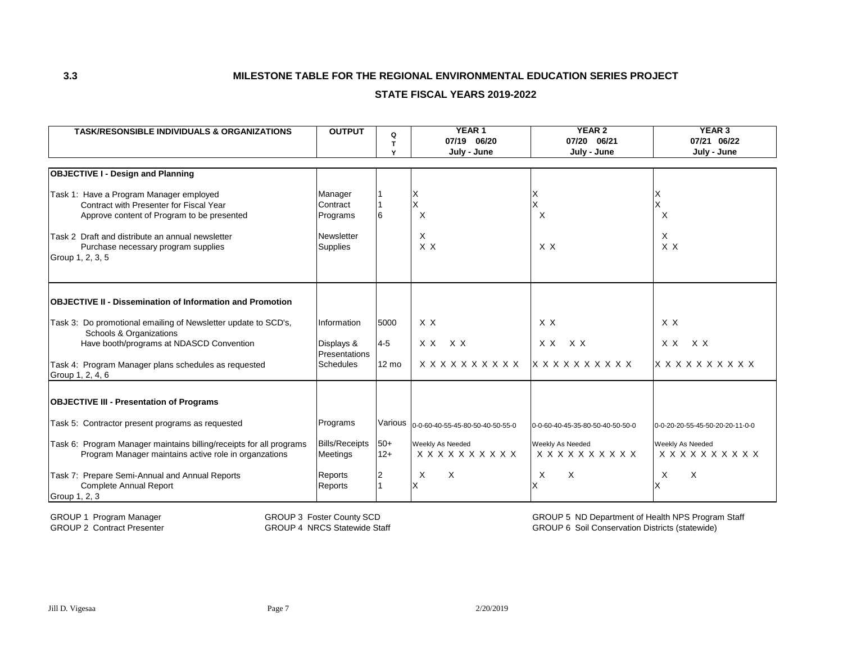#### **MILESTONE TABLE FOR THE REGIONAL ENVIRONMENTAL EDUCATION SERIES PROJECT**

#### **STATE FISCAL YEARS 2019-2022**

| <b>TASK/RESONSIBLE INDIVIDUALS &amp; ORGANIZATIONS</b>                                    | <b>OUTPUT</b>                 | Q               | YEAR <sub>1</sub><br>07/19 06/20    | <b>YEAR 2</b><br>07/20 06/21     | <b>YEAR 3</b><br>07/21 06/22    |
|-------------------------------------------------------------------------------------------|-------------------------------|-----------------|-------------------------------------|----------------------------------|---------------------------------|
|                                                                                           |                               | T<br>Y          | July - June                         | July - June                      | July - June                     |
| <b>OBJECTIVE I - Design and Planning</b>                                                  |                               |                 |                                     |                                  |                                 |
|                                                                                           |                               |                 |                                     |                                  |                                 |
| Task 1: Have a Program Manager employed                                                   | Manager<br>Contract           |                 |                                     |                                  |                                 |
| Contract with Presenter for Fiscal Year<br>Approve content of Program to be presented     | Programs                      |                 | Χ<br>X                              | Χ<br>$\times$                    | X<br>X                          |
|                                                                                           |                               |                 |                                     |                                  |                                 |
| Task 2 Draft and distribute an annual newsletter<br>Purchase necessary program supplies   | Newsletter<br><b>Supplies</b> |                 | X<br>X X                            | X X                              | Χ<br>$X$ $X$                    |
| Group 1, 2, 3, 5                                                                          |                               |                 |                                     |                                  |                                 |
|                                                                                           |                               |                 |                                     |                                  |                                 |
|                                                                                           |                               |                 |                                     |                                  |                                 |
| <b>OBJECTIVE II - Dissemination of Information and Promotion</b>                          |                               |                 |                                     |                                  |                                 |
| Task 3: Do promotional emailing of Newsletter update to SCD's,<br>Schools & Organizations | Information                   | 5000            | X X                                 | X X                              | X X                             |
| Have booth/programs at NDASCD Convention                                                  | Displays &                    | $4 - 5$         | $X X$ $X X$                         | $X X$ $X X$                      | $X X$ $X X$                     |
|                                                                                           | Presentations                 |                 |                                     |                                  |                                 |
| Task 4: Program Manager plans schedules as requested<br>Group 1, 2, 4, 6                  | <b>Schedules</b>              | $12 \text{ mo}$ | $X$ $X$ $X$ $X$ $X$ $X$ $X$ $X$ $X$ | <b>x x x x x x x x x x</b>       | <b>X X X X X X X X X X</b>      |
|                                                                                           |                               |                 |                                     |                                  |                                 |
| <b>OBJECTIVE III - Presentation of Programs</b>                                           |                               |                 |                                     |                                  |                                 |
| Task 5: Contractor present programs as requested                                          | Programs                      | Various         | 0-0-60-40-55-45-80-50-40-50-55-0    | 0-0-60-40-45-35-80-50-40-50-50-0 | 0-0-20-20-55-45-50-20-20-11-0-0 |
| Task 6: Program Manager maintains billing/receipts for all programs                       | <b>Bills/Receipts</b>         | $50+$           | Weekly As Needed                    | Weekly As Needed                 | Weekly As Needed                |
| Program Manager maintains active role in organzations                                     | Meetings                      | $12+$           | x x x x x x x x x x                 | x x x x x x x x x x              | x x x x x x x x x x             |
| Task 7: Prepare Semi-Annual and Annual Reports                                            | Reports                       | 2               | X<br>X                              | $\times$<br>$\mathsf{X}$         | X<br>X                          |
| <b>Complete Annual Report</b>                                                             | Reports                       |                 |                                     |                                  |                                 |
| Group 1, 2, 3                                                                             |                               |                 |                                     |                                  |                                 |

GROUP 1 Program Manager GROUP 3 Foster County SCD

GROUP 2 Contract Presenter CROUP 4 NRCS Statewide Staff

GROUP 6 Soil Conservation Districts (statewide) GROUP 5 ND Department of Health NPS Program Staff

**3.3**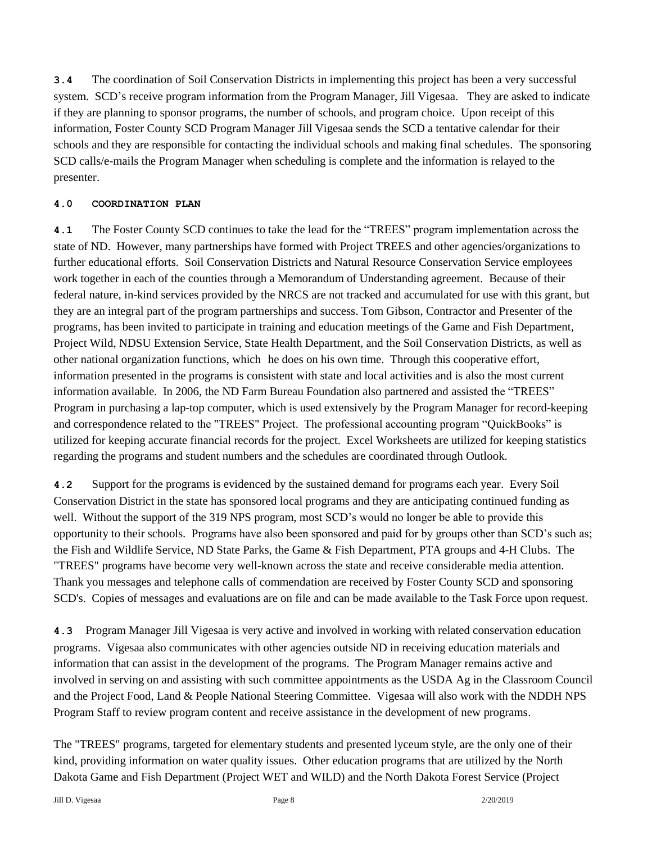**3.4** The coordination of Soil Conservation Districts in implementing this project has been a very successful system. SCD's receive program information from the Program Manager, Jill Vigesaa. They are asked to indicate if they are planning to sponsor programs, the number of schools, and program choice. Upon receipt of this information, Foster County SCD Program Manager Jill Vigesaa sends the SCD a tentative calendar for their schools and they are responsible for contacting the individual schools and making final schedules. The sponsoring SCD calls/e-mails the Program Manager when scheduling is complete and the information is relayed to the presenter.

## **4.0 COORDINATION PLAN**

**4.1** The Foster County SCD continues to take the lead for the "TREES" program implementation across the state of ND. However, many partnerships have formed with Project TREES and other agencies/organizations to further educational efforts. Soil Conservation Districts and Natural Resource Conservation Service employees work together in each of the counties through a Memorandum of Understanding agreement. Because of their federal nature, in-kind services provided by the NRCS are not tracked and accumulated for use with this grant, but they are an integral part of the program partnerships and success. Tom Gibson, Contractor and Presenter of the programs, has been invited to participate in training and education meetings of the Game and Fish Department, Project Wild, NDSU Extension Service, State Health Department, and the Soil Conservation Districts, as well as other national organization functions, which he does on his own time. Through this cooperative effort, information presented in the programs is consistent with state and local activities and is also the most current information available. In 2006, the ND Farm Bureau Foundation also partnered and assisted the "TREES" Program in purchasing a lap-top computer, which is used extensively by the Program Manager for record-keeping and correspondence related to the "TREES" Project. The professional accounting program "QuickBooks" is utilized for keeping accurate financial records for the project. Excel Worksheets are utilized for keeping statistics regarding the programs and student numbers and the schedules are coordinated through Outlook.

**4.2** Support for the programs is evidenced by the sustained demand for programs each year. Every Soil Conservation District in the state has sponsored local programs and they are anticipating continued funding as well. Without the support of the 319 NPS program, most SCD's would no longer be able to provide this opportunity to their schools. Programs have also been sponsored and paid for by groups other than SCD's such as; the Fish and Wildlife Service, ND State Parks, the Game & Fish Department, PTA groups and 4-H Clubs. The "TREES" programs have become very well-known across the state and receive considerable media attention. Thank you messages and telephone calls of commendation are received by Foster County SCD and sponsoring SCD's. Copies of messages and evaluations are on file and can be made available to the Task Force upon request.

**4.3** Program Manager Jill Vigesaa is very active and involved in working with related conservation education programs. Vigesaa also communicates with other agencies outside ND in receiving education materials and information that can assist in the development of the programs. The Program Manager remains active and involved in serving on and assisting with such committee appointments as the USDA Ag in the Classroom Council and the Project Food, Land & People National Steering Committee. Vigesaa will also work with the NDDH NPS Program Staff to review program content and receive assistance in the development of new programs.

The "TREES" programs, targeted for elementary students and presented lyceum style, are the only one of their kind, providing information on water quality issues. Other education programs that are utilized by the North Dakota Game and Fish Department (Project WET and WILD) and the North Dakota Forest Service (Project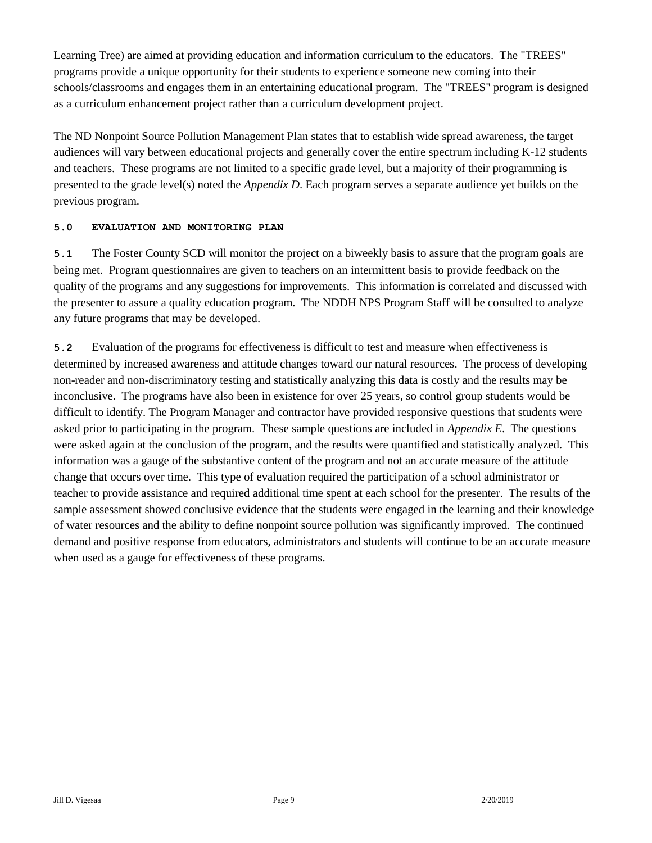Learning Tree) are aimed at providing education and information curriculum to the educators. The "TREES" programs provide a unique opportunity for their students to experience someone new coming into their schools/classrooms and engages them in an entertaining educational program. The "TREES" program is designed as a curriculum enhancement project rather than a curriculum development project.

The ND Nonpoint Source Pollution Management Plan states that to establish wide spread awareness, the target audiences will vary between educational projects and generally cover the entire spectrum including K-12 students and teachers. These programs are not limited to a specific grade level, but a majority of their programming is presented to the grade level(s) noted the *Appendix D*. Each program serves a separate audience yet builds on the previous program.

## **5.0 EVALUATION AND MONITORING PLAN**

**5.1** The Foster County SCD will monitor the project on a biweekly basis to assure that the program goals are being met. Program questionnaires are given to teachers on an intermittent basis to provide feedback on the quality of the programs and any suggestions for improvements. This information is correlated and discussed with the presenter to assure a quality education program. The NDDH NPS Program Staff will be consulted to analyze any future programs that may be developed.

**5.2** Evaluation of the programs for effectiveness is difficult to test and measure when effectiveness is determined by increased awareness and attitude changes toward our natural resources. The process of developing non-reader and non-discriminatory testing and statistically analyzing this data is costly and the results may be inconclusive. The programs have also been in existence for over 25 years, so control group students would be difficult to identify. The Program Manager and contractor have provided responsive questions that students were asked prior to participating in the program. These sample questions are included in *Appendix E*. The questions were asked again at the conclusion of the program, and the results were quantified and statistically analyzed. This information was a gauge of the substantive content of the program and not an accurate measure of the attitude change that occurs over time. This type of evaluation required the participation of a school administrator or teacher to provide assistance and required additional time spent at each school for the presenter. The results of the sample assessment showed conclusive evidence that the students were engaged in the learning and their knowledge of water resources and the ability to define nonpoint source pollution was significantly improved. The continued demand and positive response from educators, administrators and students will continue to be an accurate measure when used as a gauge for effectiveness of these programs.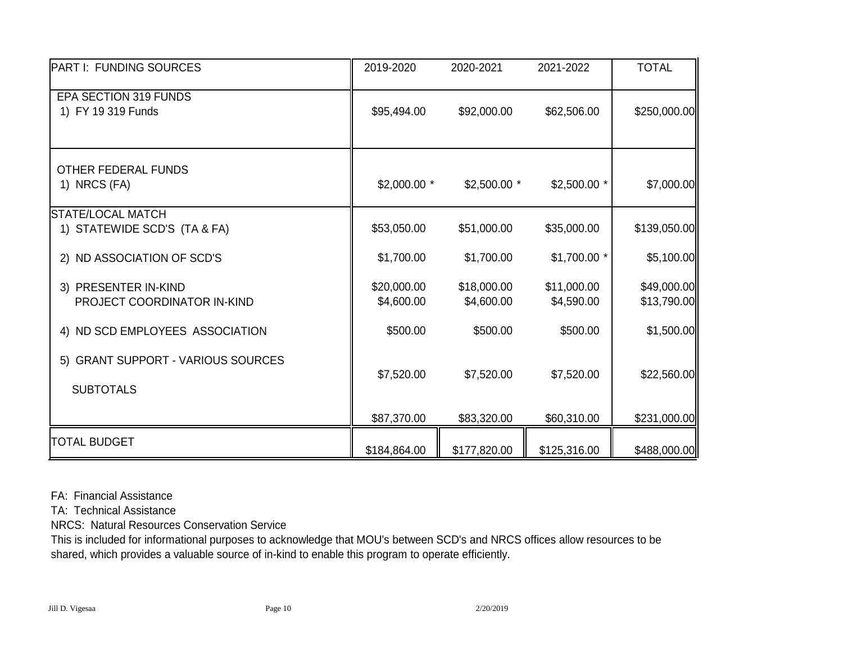| <b>PART I: FUNDING SOURCES</b>                           | 2019-2020                 | 2020-2021                 | 2021-2022                 | <b>TOTAL</b>               |
|----------------------------------------------------------|---------------------------|---------------------------|---------------------------|----------------------------|
| EPA SECTION 319 FUNDS<br>1) FY 19 319 Funds              | \$95,494.00               | \$92,000.00               | \$62,506.00               | \$250,000.00               |
| <b>OTHER FEDERAL FUNDS</b><br>1) NRCS (FA)               | $$2,000.00$ *             | $$2,500.00$ *             | $$2,500.00$ *             | \$7,000.00                 |
| <b>STATE/LOCAL MATCH</b><br>1) STATEWIDE SCD'S (TA & FA) | \$53,050.00               | \$51,000.00               | \$35,000.00               | \$139,050.00               |
| 2) ND ASSOCIATION OF SCD'S                               | \$1,700.00                | \$1,700.00                | $$1,700.00$ *             | \$5,100.00                 |
| 3) PRESENTER IN-KIND<br>PROJECT COORDINATOR IN-KIND      | \$20,000.00<br>\$4,600.00 | \$18,000.00<br>\$4,600.00 | \$11,000.00<br>\$4,590.00 | \$49,000.00<br>\$13,790.00 |
| 4) ND SCD EMPLOYEES ASSOCIATION                          | \$500.00                  | \$500.00                  | \$500.00                  | \$1,500.00                 |
| 5) GRANT SUPPORT - VARIOUS SOURCES<br><b>SUBTOTALS</b>   | \$7,520.00                | \$7,520.00                | \$7,520.00                | \$22,560.00                |
|                                                          | \$87,370.00               | \$83,320.00               | \$60,310.00               | \$231,000.00               |
| <b>TOTAL BUDGET</b>                                      | \$184,864.00              | \$177,820.00              | \$125,316.00              | \$488,000.00               |

FA: Financial Assistance

TA: Technical Assistance

NRCS: Natural Resources Conservation Service

This is included for informational purposes to acknowledge that MOU's between SCD's and NRCS offices allow resources to be shared, which provides a valuable source of in-kind to enable this program to operate efficiently.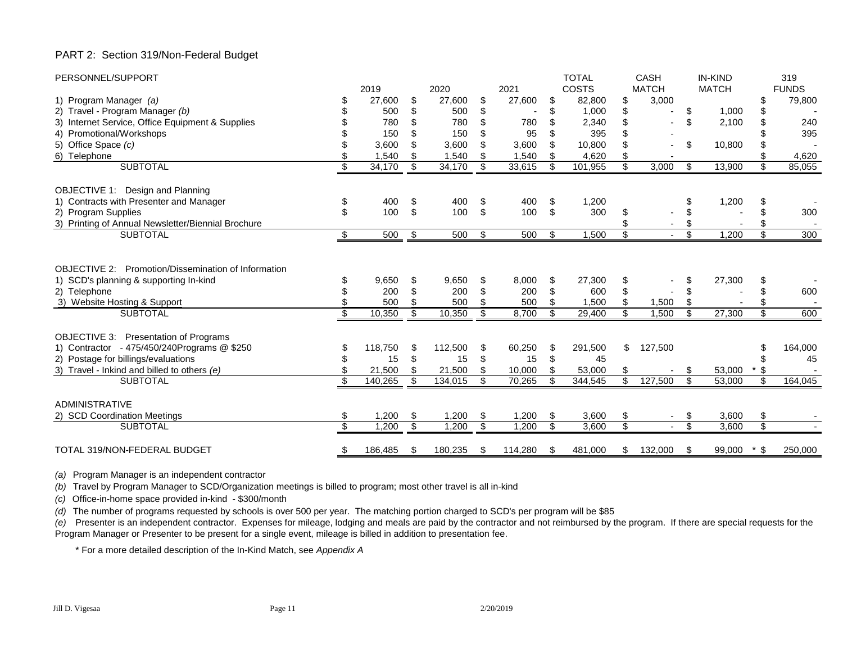#### PART 2: Section 319/Non-Federal Budget

| PERSONNEL/SUPPORT                                                                                                                                                       |                                     |                         |                               |                           |                              |                | <b>TOTAL</b>                     |                      | <b>CASH</b>    |     | <b>IN-KIND</b>   |      | 319          |
|-------------------------------------------------------------------------------------------------------------------------------------------------------------------------|-------------------------------------|-------------------------|-------------------------------|---------------------------|------------------------------|----------------|----------------------------------|----------------------|----------------|-----|------------------|------|--------------|
|                                                                                                                                                                         | 2019                                |                         | 2020                          |                           | 2021                         |                | COSTS                            |                      | <b>MATCH</b>   |     | <b>MATCH</b>     |      | <b>FUNDS</b> |
| 1) Program Manager (a)                                                                                                                                                  | 27,600                              | \$                      | 27,600                        | \$                        | 27,600                       | S              | 82,800                           | \$                   | 3,000          |     |                  | S    | 79,800       |
| 2) Travel - Program Manager (b)                                                                                                                                         | 500                                 | \$                      | 500                           | \$                        |                              |                | 1,000                            | \$                   |                | S   | 1,000            |      |              |
| 3) Internet Service, Office Equipment & Supplies                                                                                                                        | 780                                 | \$                      | 780                           | \$                        | 780                          |                | 2,340                            | \$                   |                | ß.  | 2,100            |      | 240          |
| 4) Promotional/Workshops                                                                                                                                                | 150                                 | \$                      | 150                           | \$                        | 95                           |                | 395                              | \$                   |                |     |                  |      | 395          |
| 5) Office Space (c)                                                                                                                                                     | 3,600                               |                         | 3,600                         | \$                        | 3,600                        |                | 10,800                           | \$                   |                | \$  | 10,800           |      |              |
| 6) Telephone                                                                                                                                                            | 1,540                               | S                       | 1,540                         | \$                        | 1,540                        |                | 4,620                            | \$                   |                |     |                  |      | 4,620        |
| <b>SUBTOTAL</b>                                                                                                                                                         | \$<br>34,170                        | \$                      | 34,170                        | \$                        | 33,615                       | \$             | 101,955                          | \$                   | 3,000          | -\$ | 13,900           | \$   | 85,055       |
| OBJECTIVE 1: Design and Planning                                                                                                                                        |                                     |                         |                               |                           |                              |                |                                  |                      |                |     |                  |      |              |
| 1) Contracts with Presenter and Manager                                                                                                                                 | \$<br>400                           | \$                      | 400                           | \$                        | 400                          | \$             | 1,200                            |                      |                |     | 1,200            |      |              |
| 2) Program Supplies                                                                                                                                                     | \$<br>100                           | \$                      | 100                           | \$                        | 100                          | \$             | 300                              | \$                   |                |     |                  |      | 300          |
| 3) Printing of Annual Newsletter/Biennial Brochure                                                                                                                      |                                     |                         |                               |                           |                              |                |                                  |                      |                |     |                  |      |              |
| <b>SUBTOTAL</b>                                                                                                                                                         | \$<br>500                           | \$                      | 500                           | $\sqrt[6]{3}$             | 500                          | \$             | 1,500                            | \$                   |                | \$  | 1,200            |      | 300          |
| <b>OBJECTIVE 2: Promotion/Dissemination of Information</b><br>1) SCD's planning & supporting In-kind<br>2) Telephone<br>3) Website Hosting & Support<br><b>SUBTOTAL</b> | \$<br>9,650<br>200<br>500<br>10,350 | \$<br>\$<br>\$          | 9,650<br>200<br>500<br>10,350 | \$<br>\$<br>-\$           | 8,000<br>200<br>500<br>8,700 | \$<br>\$<br>\$ | 27,300<br>600<br>1,500<br>29,400 | \$<br>\$<br>\$<br>\$ | 1,500<br>1,500 | \$  | 27,300<br>27,300 |      | 600<br>600   |
| <b>OBJECTIVE 3: Presentation of Programs</b>                                                                                                                            |                                     |                         |                               |                           |                              |                |                                  |                      |                |     |                  |      |              |
| 1) Contractor - 475/450/240Programs @ \$250                                                                                                                             | 118,750                             | \$                      | 112,500                       | \$                        | 60,250                       | \$             | 291,500                          | \$                   | 127,500        |     |                  |      | 164,000      |
| 2) Postage for billings/evaluations                                                                                                                                     | 15                                  | \$                      | 15                            | \$                        | 15                           | \$             | 45                               |                      |                |     |                  |      | 45           |
| 3) Travel - Inkind and billed to others (e)                                                                                                                             | 21,500                              |                         | 21.500                        |                           | 10.000                       |                | 53,000                           | S                    |                |     | 53.000           |      |              |
| <b>SUBTOTAL</b>                                                                                                                                                         | \$<br>140,265                       | \$                      | 134,015                       | \$                        | 70,265                       | \$             | 344,545                          | \$                   | 127,500        | \$  | 53,000           | \$   | 164,045      |
| <b>ADMINISTRATIVE</b>                                                                                                                                                   |                                     |                         |                               |                           |                              |                |                                  |                      |                |     |                  |      |              |
| 2) SCD Coordination Meetings                                                                                                                                            | \$<br>,200                          | \$                      | 1,200                         | \$                        | 1,200                        | \$             | 3,600                            | \$                   |                | \$  | 3,600            | \$   |              |
| <b>SUBTOTAL</b>                                                                                                                                                         | \$<br>1,200                         | $\sqrt[6]{\frac{1}{2}}$ | 1,200                         | $\boldsymbol{\mathsf{S}}$ | 1,200                        | \$             | 3,600                            | \$                   |                | \$. | 3,600            | \$   |              |
| TOTAL 319/NON-FEDERAL BUDGET                                                                                                                                            | \$<br>186.485                       | \$                      | 180,235                       | \$                        | 114.280                      | \$             | 481.000                          | \$                   | 132.000        | S   | 99.000           | * \$ | 250.000      |

*(a)* Program Manager is an independent contractor

*(b)* Travel by Program Manager to SCD/Organization meetings is billed to program; most other travel is all in-kind

*(c)* Office-in-home space provided in-kind - \$300/month

*(d)* The number of programs requested by schools is over 500 per year. The matching portion charged to SCD's per program will be \$85

*(e)* Presenter is an independent contractor. Expenses for mileage, lodging and meals are paid by the contractor and not reimbursed by the program. If there are special requests for the Program Manager or Presenter to be present for a single event, mileage is billed in addition to presentation fee.

\* For a more detailed description of the In-Kind Match, see *Appendix A*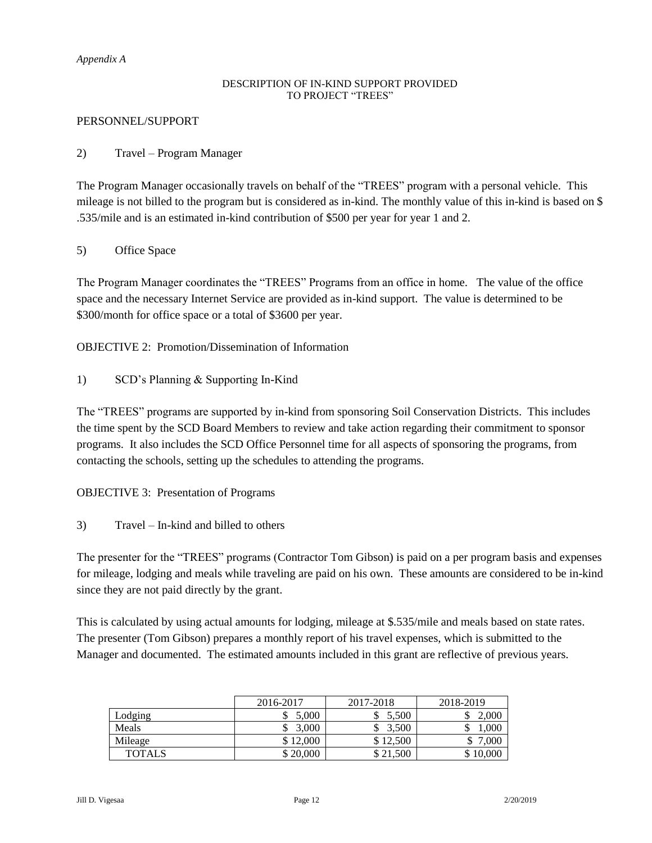#### *Appendix A*

#### DESCRIPTION OF IN-KIND SUPPORT PROVIDED TO PROJECT "TREES"

#### PERSONNEL/SUPPORT

## 2) Travel – Program Manager

The Program Manager occasionally travels on behalf of the "TREES" program with a personal vehicle. This mileage is not billed to the program but is considered as in-kind. The monthly value of this in-kind is based on \$ .535/mile and is an estimated in-kind contribution of \$500 per year for year 1 and 2.

## 5) Office Space

The Program Manager coordinates the "TREES" Programs from an office in home. The value of the office space and the necessary Internet Service are provided as in-kind support. The value is determined to be \$300/month for office space or a total of \$3600 per year.

OBJECTIVE 2: Promotion/Dissemination of Information

1) SCD's Planning & Supporting In-Kind

The "TREES" programs are supported by in-kind from sponsoring Soil Conservation Districts. This includes the time spent by the SCD Board Members to review and take action regarding their commitment to sponsor programs. It also includes the SCD Office Personnel time for all aspects of sponsoring the programs, from contacting the schools, setting up the schedules to attending the programs.

OBJECTIVE 3: Presentation of Programs

3) Travel – In-kind and billed to others

The presenter for the "TREES" programs (Contractor Tom Gibson) is paid on a per program basis and expenses for mileage, lodging and meals while traveling are paid on his own. These amounts are considered to be in-kind since they are not paid directly by the grant.

This is calculated by using actual amounts for lodging, mileage at \$.535/mile and meals based on state rates. The presenter (Tom Gibson) prepares a monthly report of his travel expenses, which is submitted to the Manager and documented. The estimated amounts included in this grant are reflective of previous years.

|               | 2016-2017 | 2017-2018  | 2018-2019 |
|---------------|-----------|------------|-----------|
| Lodging       | 5.000     | 5.500<br>◡ | 2,000     |
| Meals         | 3.000     | 3.500      | .000      |
| Mileage       | \$12,000  | \$12,500   | 7.000     |
| <b>TOTALS</b> | \$20,000  | \$21,500   | \$10,000  |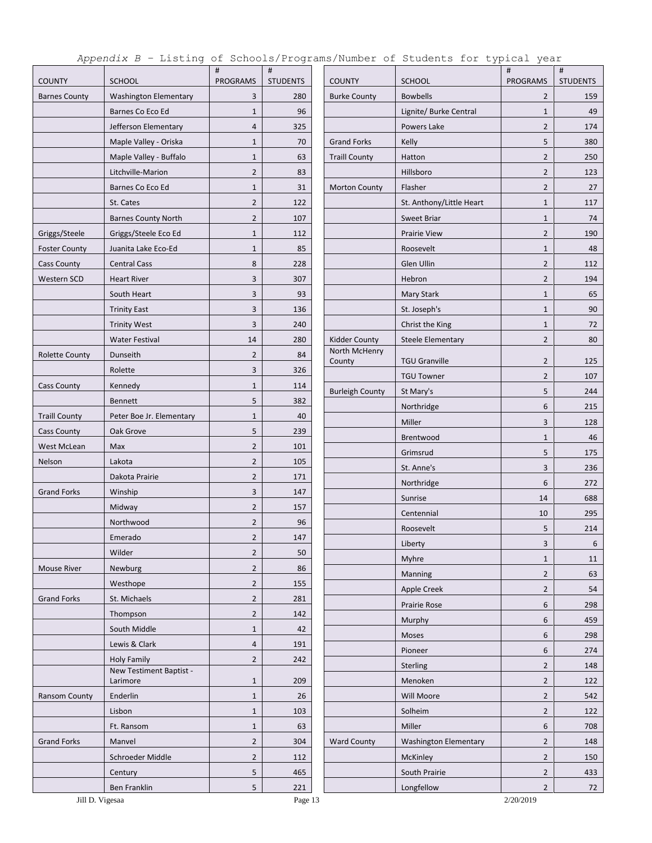| <b>COUNTY</b>         | <b>SCHOOL</b>                | #<br><b>PROGRAMS</b> | #<br><b>STUDENTS</b> | <b>COUNTY</b>          | <b>SCHOOL</b>                | #<br>PROGRAMS  | $\#$<br><b>STUDENTS</b> |
|-----------------------|------------------------------|----------------------|----------------------|------------------------|------------------------------|----------------|-------------------------|
| <b>Barnes County</b>  | <b>Washington Elementary</b> | 3                    | 280                  | <b>Burke County</b>    | <b>Bowbells</b>              | $\overline{2}$ | 159                     |
|                       | Barnes Co Eco Ed             | $\mathbf{1}$         | 96                   |                        | Lignite/ Burke Central       | $\mathbf{1}$   | 49                      |
|                       | Jefferson Elementary         | 4                    | 325                  |                        | Powers Lake                  | $\overline{2}$ | 174                     |
|                       | Maple Valley - Oriska        | $\mathbf{1}$         | 70                   | <b>Grand Forks</b>     | Kelly                        | 5              | 380                     |
|                       | Maple Valley - Buffalo       | $\mathbf{1}$         | 63                   | <b>Traill County</b>   | Hatton                       | $\overline{2}$ | 250                     |
|                       | Litchville-Marion            | $\overline{2}$       | 83                   |                        | Hillsboro                    | $\overline{2}$ | 123                     |
|                       | Barnes Co Eco Ed             | $\mathbf{1}$         | 31                   | <b>Morton County</b>   | Flasher                      | $\overline{2}$ | 27                      |
|                       | St. Cates                    | $\overline{2}$       | 122                  |                        | St. Anthony/Little Heart     | $\mathbf{1}$   | 117                     |
|                       | <b>Barnes County North</b>   | $\overline{2}$       | 107                  |                        | <b>Sweet Briar</b>           | $\mathbf{1}$   | 74                      |
| Griggs/Steele         | Griggs/Steele Eco Ed         | $\mathbf{1}$         | 112                  |                        | <b>Prairie View</b>          | $\overline{2}$ | 190                     |
| <b>Foster County</b>  | Juanita Lake Eco-Ed          | $\mathbf{1}$         | 85                   |                        | Roosevelt                    | $\mathbf{1}$   | 48                      |
| <b>Cass County</b>    | <b>Central Cass</b>          | 8                    | 228                  |                        | Glen Ullin                   | $\overline{2}$ | 112                     |
| Western SCD           | <b>Heart River</b>           | 3                    | 307                  |                        | Hebron                       | $\overline{2}$ | 194                     |
|                       | South Heart                  | 3                    | 93                   |                        | Mary Stark                   | $\mathbf{1}$   | 65                      |
|                       | <b>Trinity East</b>          | 3                    | 136                  |                        | St. Joseph's                 | $\mathbf{1}$   | 90                      |
|                       | <b>Trinity West</b>          | 3                    | 240                  |                        | Christ the King              | $\mathbf{1}$   | 72                      |
|                       | <b>Water Festival</b>        | 14                   | 280                  | Kidder County          | Steele Elementary            | $\overline{2}$ | 80                      |
| <b>Rolette County</b> | Dunseith                     | $\overline{2}$       | 84                   | North McHenry          |                              |                |                         |
|                       | Rolette                      | 3                    | 326                  | County                 | <b>TGU Granville</b>         | $\overline{2}$ | 125                     |
| <b>Cass County</b>    | Kennedy                      | $\mathbf{1}$         | 114                  |                        | <b>TGU Towner</b>            | $\overline{2}$ | 107                     |
|                       | <b>Bennett</b>               | 5                    | 382                  | <b>Burleigh County</b> | St Mary's                    | 5              | 244                     |
| <b>Traill County</b>  | Peter Boe Jr. Elementary     | $\mathbf{1}$         | 40                   |                        | Northridge                   | 6              | 215                     |
| <b>Cass County</b>    | Oak Grove                    | 5                    | 239                  |                        | Miller                       | 3              | 128                     |
| West McLean           | Max                          | $\overline{2}$       | 101                  |                        | Brentwood                    | $\mathbf{1}$   | 46                      |
| Nelson                | Lakota                       | $\overline{2}$       | 105                  |                        | Grimsrud                     | 5              | 175                     |
|                       | Dakota Prairie               | $\overline{2}$       | 171                  |                        | St. Anne's                   | 3              | 236                     |
| <b>Grand Forks</b>    | Winship                      | 3                    | 147                  |                        | Northridge                   | 6              | 272                     |
|                       | Midway                       | $\overline{2}$       | 157                  |                        | Sunrise                      | 14             | 688                     |
|                       | Northwood                    | $\overline{2}$       | 96                   |                        | Centennial                   | 10             | 295                     |
|                       | Emerado                      | $\overline{2}$       | 147                  |                        | Roosevelt                    | 5              | 214                     |
|                       | Wilder                       | $\overline{2}$       | 50                   |                        | Liberty                      | 3              | $\boldsymbol{6}$        |
| <b>Mouse River</b>    | Newburg                      | $\overline{2}$       | 86                   |                        | Myhre                        | $\mathbf{1}$   | 11                      |
|                       | Westhope                     | $\overline{2}$       | 155                  |                        | Manning                      | $\overline{2}$ | 63                      |
| <b>Grand Forks</b>    | St. Michaels                 | $\overline{2}$       | 281                  |                        | Apple Creek                  | $\overline{2}$ | 54                      |
|                       | Thompson                     | $\overline{2}$       | 142                  |                        | Prairie Rose                 | 6              | 298                     |
|                       | South Middle                 | $\mathbf{1}$         | 42                   |                        | Murphy                       | 6              | 459                     |
|                       | Lewis & Clark                | 4                    | 191                  |                        | Moses                        | 6              | 298                     |
|                       | <b>Holy Family</b>           | $\overline{2}$       | 242                  |                        | Pioneer                      | 6              | 274                     |
|                       | New Testiment Baptist -      |                      |                      |                        | Sterling                     | $\overline{2}$ | 148                     |
|                       | Larimore                     | $\mathbf{1}$         | 209                  |                        | Menoken                      | $\overline{2}$ | 122                     |
| Ransom County         | Enderlin                     | $\mathbf{1}$         | 26                   |                        | Will Moore                   | $\overline{2}$ | 542                     |
|                       | Lisbon                       | $\mathbf{1}$         | 103                  |                        | Solheim                      | $\overline{2}$ | 122                     |
|                       | Ft. Ransom                   | $1\,$                | 63                   |                        | Miller                       | 6              | 708                     |
| <b>Grand Forks</b>    | Manvel                       | $\overline{2}$       | 304                  | <b>Ward County</b>     | <b>Washington Elementary</b> | $\overline{2}$ | 148                     |
|                       | Schroeder Middle             | $\overline{2}$       | 112                  |                        | <b>McKinley</b>              | $\overline{2}$ | 150                     |
|                       | Century                      | 5                    | 465                  |                        | South Prairie                | $\overline{2}$ | 433                     |
|                       | Ben Franklin                 | 5                    | 221                  |                        | Longfellow                   | $\overline{2}$ | 72                      |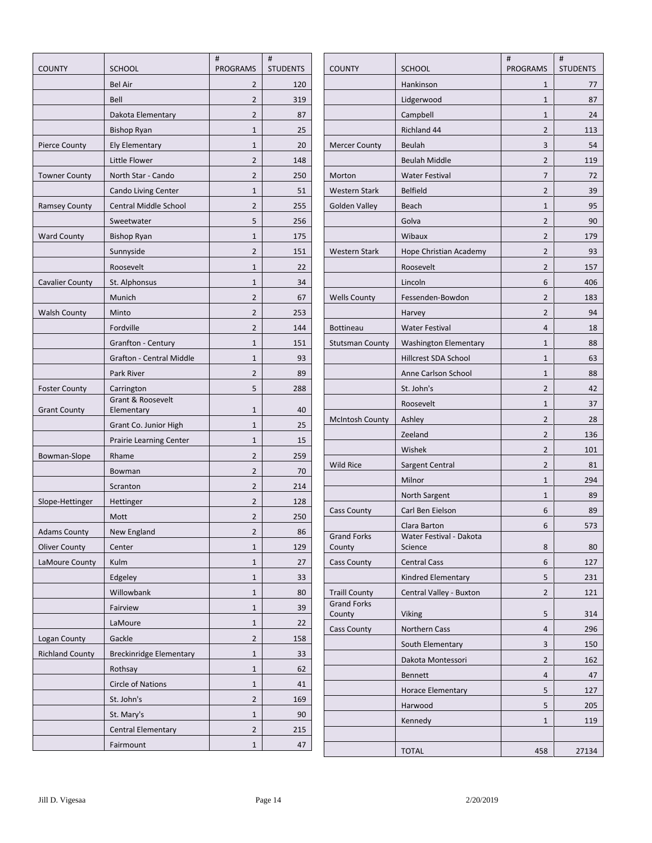| <b>COUNTY</b>                          | <b>SCHOOL</b>                            | #<br><b>PROGRAMS</b>             | $\#$<br><b>STUDENTS</b> | <b>COUNTY</b>                | <b>SCHOOL</b>                      | #<br><b>PROGRAMS</b> | $\sharp$<br><b>STUDENTS</b> |
|----------------------------------------|------------------------------------------|----------------------------------|-------------------------|------------------------------|------------------------------------|----------------------|-----------------------------|
|                                        | <b>Bel Air</b>                           | $\overline{2}$                   | 120                     |                              | Hankinson                          | $\mathbf{1}$         | 77                          |
|                                        | Bell                                     | $\overline{2}$                   | 319                     |                              | Lidgerwood                         | $\mathbf{1}$         | 87                          |
|                                        | Dakota Elementary                        | $\overline{2}$                   | 87                      |                              | Campbell                           | $\mathbf{1}$         | 24                          |
|                                        | <b>Bishop Ryan</b>                       | $\mathbf{1}$                     | 25                      |                              | Richland 44                        | $\overline{2}$       | 113                         |
| <b>Pierce County</b>                   | <b>Ely Elementary</b>                    | $\mathbf{1}$                     | 20                      | <b>Mercer County</b>         | Beulah                             | 3                    | 54                          |
|                                        | Little Flower                            | $\overline{2}$                   | 148                     |                              | <b>Beulah Middle</b>               | $\overline{2}$       | 119                         |
| <b>Towner County</b>                   | North Star - Cando                       | $\overline{2}$                   | 250                     | Morton                       | <b>Water Festival</b>              | $\overline{7}$       | 72                          |
|                                        | Cando Living Center                      | $\mathbf{1}$                     | 51                      | <b>Western Stark</b>         | <b>Belfield</b>                    | $\overline{2}$       | 39                          |
| <b>Ramsey County</b>                   | Central Middle School                    | $\overline{2}$                   | 255                     | <b>Golden Valley</b>         | Beach                              | $\mathbf{1}$         | 95                          |
|                                        | Sweetwater                               | 5                                | 256                     |                              | Golva                              | $\overline{2}$       | 90                          |
| <b>Ward County</b>                     | <b>Bishop Ryan</b>                       | $\mathbf{1}$                     | 175                     |                              | Wibaux                             | $\overline{2}$       | 179                         |
|                                        | Sunnyside                                | $\overline{2}$                   | 151                     | <b>Western Stark</b>         | Hope Christian Academy             | $\overline{2}$       | 93                          |
|                                        | Roosevelt                                | $\mathbf{1}$                     | 22                      |                              | Roosevelt                          | $\overline{2}$       | 157                         |
| <b>Cavalier County</b>                 | St. Alphonsus                            | $\mathbf{1}$                     | 34                      |                              | Lincoln                            | 6                    | 406                         |
|                                        | Munich                                   | $\overline{2}$                   | 67                      | <b>Wells County</b>          | Fessenden-Bowdon                   | $\overline{2}$       | 183                         |
| <b>Walsh County</b>                    | Minto                                    | $\overline{2}$                   | 253                     |                              | Harvey                             | $\overline{2}$       | 94                          |
|                                        | Fordville                                | $\overline{2}$                   | 144                     | <b>Bottineau</b>             | <b>Water Festival</b>              | $\overline{4}$       | 18                          |
|                                        | Granfton - Century                       | $\mathbf{1}$                     | 151                     | <b>Stutsman County</b>       | <b>Washington Elementary</b>       | $\mathbf{1}$         | 88                          |
|                                        | <b>Grafton - Central Middle</b>          | $\mathbf{1}$                     | 93                      |                              | Hillcrest SDA School               | $\mathbf{1}$         | 63                          |
|                                        | Park River                               | $\overline{2}$                   | 89                      |                              | Anne Carlson School                | $\mathbf{1}$         | 88                          |
| <b>Foster County</b>                   | Carrington                               | 5                                | 288                     |                              | St. John's                         | $\overline{2}$       | 42                          |
|                                        | Grant & Roosevelt                        |                                  |                         |                              | Roosevelt                          | $\mathbf{1}$         | 37                          |
| <b>Grant County</b>                    | Elementary                               | $\mathbf{1}$                     | 40                      | <b>McIntosh County</b>       | Ashley                             | $\overline{2}$       | 28                          |
|                                        | Grant Co. Junior High                    | $\mathbf{1}$                     | 25                      |                              | Zeeland                            | $\overline{2}$       | 136                         |
|                                        | Prairie Learning Center                  | $\mathbf{1}$                     | 15                      |                              | Wishek                             | $\overline{2}$       | 101                         |
| Bowman-Slope                           | Rhame                                    | $\overline{2}$<br>$\overline{2}$ | 259<br>70               | <b>Wild Rice</b>             | Sargent Central                    | $\overline{2}$       | 81                          |
|                                        | Bowman<br>Scranton                       | $\overline{2}$                   | 214                     |                              | Milnor                             | $\mathbf{1}$         | 294                         |
| Slope-Hettinger                        |                                          | $\overline{2}$                   | 128                     |                              | North Sargent                      | $\mathbf{1}$         | 89                          |
|                                        | Hettinger<br>Mott                        | $\overline{2}$                   | 250                     | <b>Cass County</b>           | Carl Ben Eielson                   | 6                    | 89                          |
| <b>Adams County</b>                    | New England                              | $\overline{2}$                   | 86                      |                              | Clara Barton                       | 6                    | 573                         |
| <b>Oliver County</b>                   | Center                                   | $\mathbf{1}$                     | 129                     | <b>Grand Forks</b>           | Water Festival - Dakota<br>Science | 8                    | 80                          |
| LaMoure County                         | Kulm                                     |                                  | 27                      | County<br><b>Cass County</b> | <b>Central Cass</b>                | 6                    | 127                         |
|                                        | Edgeley                                  | $\mathbf{1}$<br>$\mathbf{1}$     | 33                      |                              | Kindred Elementary                 | 5                    |                             |
|                                        | Willowbank                               |                                  |                         | <b>Traill County</b>         | Central Valley - Buxton            |                      | 231                         |
|                                        | Fairview                                 | $\mathbf{1}$<br>$\mathbf{1}$     | 80<br>39                | <b>Grand Forks</b>           |                                    | $\overline{2}$       | 121                         |
|                                        | LaMoure                                  | $\mathbf{1}$                     | 22                      | County                       | Viking                             | 5                    | 314                         |
|                                        |                                          |                                  |                         | <b>Cass County</b>           | Northern Cass                      | $\overline{4}$       | 296                         |
| Logan County<br><b>Richland County</b> | Gackle<br><b>Breckinridge Elementary</b> | $\overline{2}$<br>$\mathbf{1}$   | 158<br>33               |                              | South Elementary                   | 3                    | 150                         |
|                                        |                                          |                                  |                         |                              | Dakota Montessori                  | $\overline{2}$       | 162                         |
|                                        | Rothsay<br><b>Circle of Nations</b>      | $\mathbf{1}$<br>$\mathbf{1}$     | 62<br>41                |                              | Bennett                            | $\overline{4}$       | 47                          |
|                                        |                                          | $\overline{2}$                   |                         |                              | <b>Horace Elementary</b>           | 5                    | 127                         |
|                                        | St. John's<br>St. Mary's                 | $\mathbf{1}$                     | 169<br>90               |                              | Harwood                            | 5                    | 205                         |
|                                        | <b>Central Elementary</b>                | $\overline{2}$                   | 215                     |                              | Kennedy                            | $\mathbf{1}$         | 119                         |
|                                        |                                          |                                  |                         |                              |                                    |                      |                             |
|                                        | Fairmount                                | $\mathbf{1}$                     | 47                      |                              | <b>TOTAL</b>                       | 458                  | 27134                       |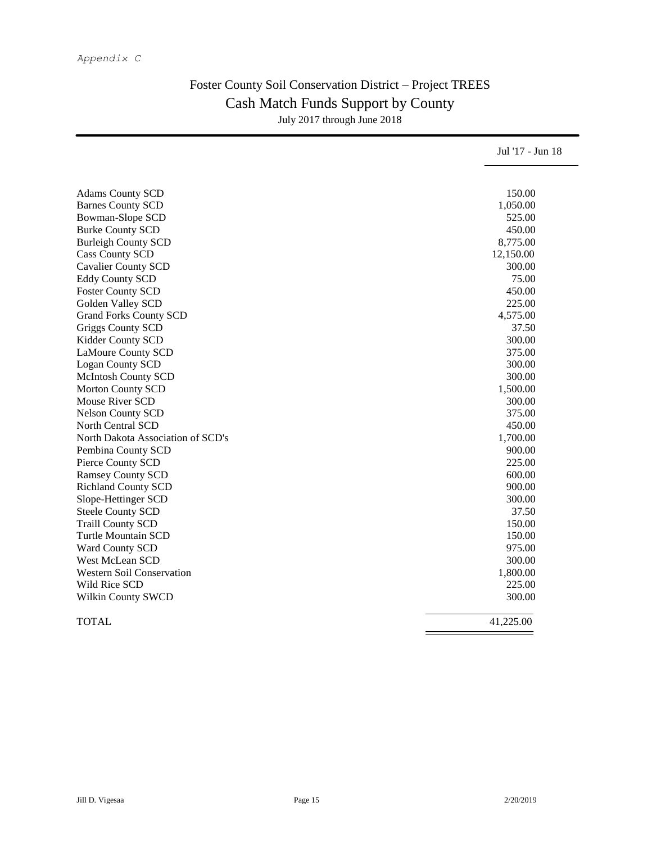## *Appendix C*

## Foster County Soil Conservation District – Project TREES Cash Match Funds Support by County July 2017 through June 2018

|                                   | Jul '17 - Jun 18 |
|-----------------------------------|------------------|
|                                   |                  |
| <b>Adams County SCD</b>           | 150.00           |
| <b>Barnes County SCD</b>          | 1,050.00         |
| <b>Bowman-Slope SCD</b>           | 525.00           |
| <b>Burke County SCD</b>           | 450.00           |
| <b>Burleigh County SCD</b>        | 8,775.00         |
| <b>Cass County SCD</b>            | 12,150.00        |
| <b>Cavalier County SCD</b>        | 300.00           |
| <b>Eddy County SCD</b>            | 75.00            |
| <b>Foster County SCD</b>          | 450.00           |
| Golden Valley SCD                 | 225.00           |
| <b>Grand Forks County SCD</b>     | 4,575.00         |
| Griggs County SCD                 | 37.50            |
| Kidder County SCD                 | 300.00           |
| LaMoure County SCD                | 375.00           |
| <b>Logan County SCD</b>           | 300.00           |
| <b>McIntosh County SCD</b>        | 300.00           |
| <b>Morton County SCD</b>          | 1,500.00         |
| Mouse River SCD                   | 300.00           |
| <b>Nelson County SCD</b>          | 375.00           |
| North Central SCD                 | 450.00           |
| North Dakota Association of SCD's | 1,700.00         |
| Pembina County SCD                | 900.00           |
| Pierce County SCD                 | 225.00           |
| <b>Ramsey County SCD</b>          | 600.00           |
| <b>Richland County SCD</b>        | 900.00           |
| Slope-Hettinger SCD               | 300.00           |
| <b>Steele County SCD</b>          | 37.50            |
| <b>Traill County SCD</b>          | 150.00           |
| <b>Turtle Mountain SCD</b>        | 150.00           |
| Ward County SCD                   | 975.00           |
| West McLean SCD                   | 300.00           |
| Western Soil Conservation         | 1,800.00         |
| Wild Rice SCD                     | 225.00           |
| Wilkin County SWCD                | 300.00           |
| TOTAL                             | 41.225.00        |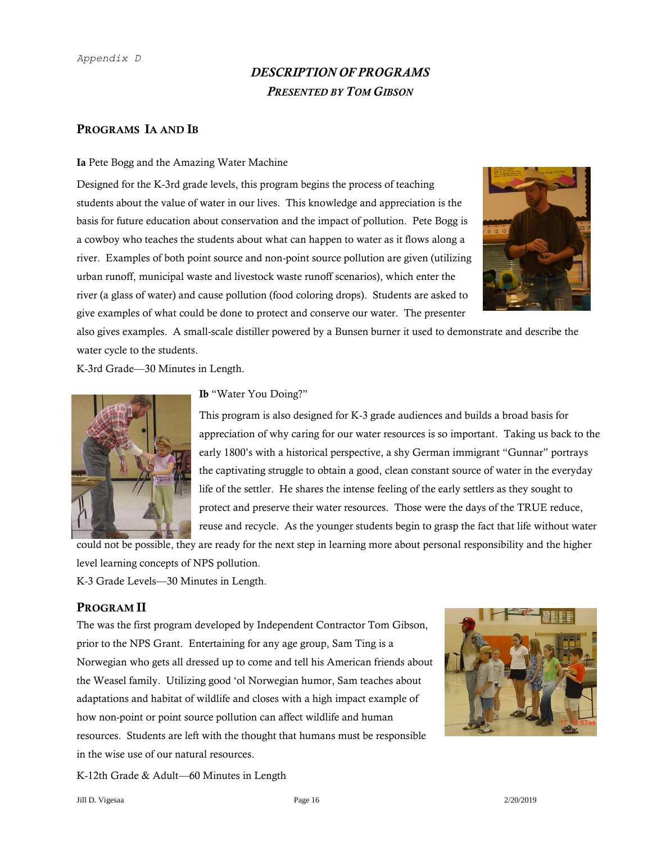#### *Appendix D*

## *DESCRIPTION OF PROGRAMS PRESENTED BY TOM GIBSON*

## PROGRAMS IA AND IB

#### Ia Pete Bogg and the Amazing Water Machine

Designed for the K-3rd grade levels, this program begins the process of teaching students about the value of water in our lives. This knowledge and appreciation is the basis for future education about conservation and the impact of pollution. Pete Bogg is a cowboy who teaches the students about what can happen to water as it flows along a river. Examples of both point source and non-point source pollution are given (utilizing urban runoff, municipal waste and livestock waste runoff scenarios), which enter the river (a glass of water) and cause pollution (food coloring drops). Students are asked to give examples of what could be done to protect and conserve our water. The presenter



also gives examples. A small-scale distiller powered by a Bunsen burner it used to demonstrate and describe the water cycle to the students.

K-3rd Grade—30 Minutes in Length.



Ib "Water You Doing?"

This program is also designed for K-3 grade audiences and builds a broad basis for appreciation of why caring for our water resources is so important. Taking us back to the early 1800's with a historical perspective, a shy German immigrant "Gunnar" portrays the captivating struggle to obtain a good, clean constant source of water in the everyday life of the settler. He shares the intense feeling of the early settlers as they sought to protect and preserve their water resources. Those were the days of the TRUE reduce, reuse and recycle. As the younger students begin to grasp the fact that life without water

could not be possible, they are ready for the next step in learning more about personal responsibility and the higher level learning concepts of NPS pollution. K-3 Grade Levels—30 Minutes in Length.

## PROGRAM II

The was the first program developed by Independent Contractor Tom Gibson, prior to the NPS Grant. Entertaining for any age group, Sam Ting is a Norwegian who gets all dressed up to come and tell his American friends about the Weasel family. Utilizing good 'ol Norwegian humor, Sam teaches about adaptations and habitat of wildlife and closes with a high impact example of how non-point or point source pollution can affect wildlife and human resources. Students are left with the thought that humans must be responsible in the wise use of our natural resources.



K-12th Grade & Adult—60 Minutes in Length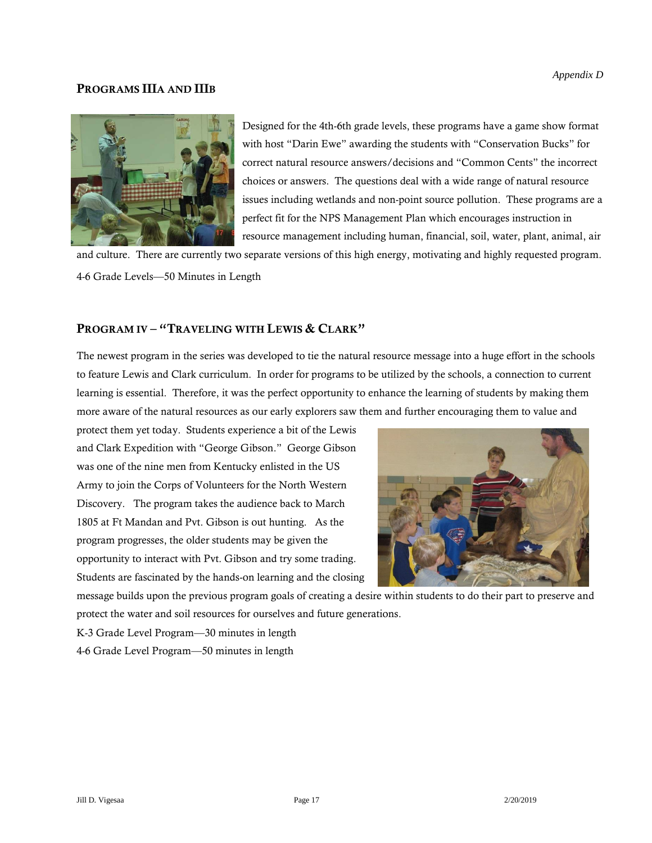## PROGRAMS IIIA AND IIIB



Designed for the 4th-6th grade levels, these programs have a game show format with host "Darin Ewe" awarding the students with "Conservation Bucks" for correct natural resource answers/decisions and "Common Cents" the incorrect choices or answers. The questions deal with a wide range of natural resource issues including wetlands and non-point source pollution. These programs are a perfect fit for the NPS Management Plan which encourages instruction in resource management including human, financial, soil, water, plant, animal, air

and culture. There are currently two separate versions of this high energy, motivating and highly requested program. 4-6 Grade Levels—50 Minutes in Length

## PROGRAM IV - "TRAVELING WITH LEWIS & CLARK"

The newest program in the series was developed to tie the natural resource message into a huge effort in the schools to feature Lewis and Clark curriculum. In order for programs to be utilized by the schools, a connection to current learning is essential. Therefore, it was the perfect opportunity to enhance the learning of students by making them more aware of the natural resources as our early explorers saw them and further encouraging them to value and

protect them yet today. Students experience a bit of the Lewis and Clark Expedition with "George Gibson." George Gibson was one of the nine men from Kentucky enlisted in the US Army to join the Corps of Volunteers for the North Western Discovery. The program takes the audience back to March 1805 at Ft Mandan and Pvt. Gibson is out hunting. As the program progresses, the older students may be given the opportunity to interact with Pvt. Gibson and try some trading. Students are fascinated by the hands-on learning and the closing



message builds upon the previous program goals of creating a desire within students to do their part to preserve and protect the water and soil resources for ourselves and future generations.

K-3 Grade Level Program—30 minutes in length

4-6 Grade Level Program—50 minutes in length